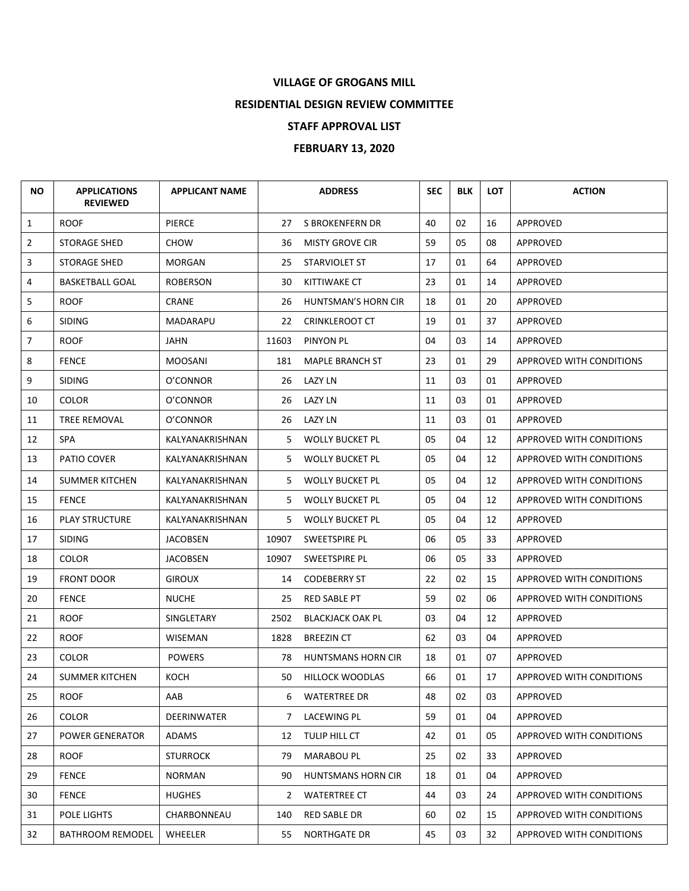## **VILLAGE OF GROGANS MILL**

## **RESIDENTIAL DESIGN REVIEW COMMITTEE**

## **STAFF APPROVAL LIST**

## **FEBRUARY 13, 2020**

| NO.            | <b>APPLICATIONS</b><br><b>REVIEWED</b> | <b>APPLICANT NAME</b> |                | <b>ADDRESS</b>          | <b>SEC</b> | <b>BLK</b> | <b>LOT</b> | <b>ACTION</b>            |
|----------------|----------------------------------------|-----------------------|----------------|-------------------------|------------|------------|------------|--------------------------|
| $\mathbf{1}$   | <b>ROOF</b>                            | <b>PIERCE</b>         | 27             | S BROKENFERN DR         | 40         | 02         | 16         | <b>APPROVED</b>          |
| $\overline{2}$ | <b>STORAGE SHED</b>                    | CHOW                  | 36             | <b>MISTY GROVE CIR</b>  | 59         | 05         | 08         | APPROVED                 |
| 3              | <b>STORAGE SHED</b>                    | MORGAN                | 25             | STARVIOLET ST           | 17         | 01         | 64         | <b>APPROVED</b>          |
| 4              | <b>BASKETBALL GOAL</b>                 | ROBERSON              | 30             | KITTIWAKE CT            | 23         | 01         | 14         | APPROVED                 |
| 5              | <b>ROOF</b>                            | <b>CRANE</b>          | 26             | HUNTSMAN'S HORN CIR     | 18         | 01         | 20         | APPROVED                 |
| 6              | <b>SIDING</b>                          | MADARAPU              | 22             | <b>CRINKLEROOT CT</b>   | 19         | 01         | 37         | <b>APPROVED</b>          |
| $\overline{7}$ | <b>ROOF</b>                            | <b>JAHN</b>           | 11603          | PINYON PL               | 04         | 03         | 14         | APPROVED                 |
| 8              | <b>FENCE</b>                           | MOOSANI               | 181            | MAPLE BRANCH ST         | 23         | 01         | 29         | APPROVED WITH CONDITIONS |
| 9              | <b>SIDING</b>                          | O'CONNOR              | 26             | <b>LAZY LN</b>          | 11         | 03         | 01         | APPROVED                 |
| 10             | <b>COLOR</b>                           | O'CONNOR              | 26             | LAZY LN                 | 11         | 03         | 01         | APPROVED                 |
| 11             | TREE REMOVAL                           | O'CONNOR              | 26             | LAZY LN                 | 11         | 03         | 01         | APPROVED                 |
| 12             | SPA                                    | KALYANAKRISHNAN       | 5.             | <b>WOLLY BUCKET PL</b>  | 05         | 04         | 12         | APPROVED WITH CONDITIONS |
| 13             | PATIO COVER                            | KALYANAKRISHNAN       | 5.             | <b>WOLLY BUCKET PL</b>  | 05         | 04         | 12         | APPROVED WITH CONDITIONS |
| 14             | <b>SUMMER KITCHEN</b>                  | KALYANAKRISHNAN       | 5.             | <b>WOLLY BUCKET PL</b>  | 05         | 04         | 12         | APPROVED WITH CONDITIONS |
| 15             | <b>FENCE</b>                           | KALYANAKRISHNAN       | 5.             | <b>WOLLY BUCKET PL</b>  | 05         | 04         | 12         | APPROVED WITH CONDITIONS |
| 16             | <b>PLAY STRUCTURE</b>                  | KALYANAKRISHNAN       | 5              | <b>WOLLY BUCKET PL</b>  | 05         | 04         | 12         | <b>APPROVED</b>          |
| 17             | <b>SIDING</b>                          | <b>JACOBSEN</b>       | 10907          | SWEETSPIRE PL           | 06         | 05         | 33         | APPROVED                 |
| 18             | <b>COLOR</b>                           | <b>JACOBSEN</b>       | 10907          | SWEETSPIRE PL           | 06         | 05         | 33         | APPROVED                 |
| 19             | <b>FRONT DOOR</b>                      | <b>GIROUX</b>         | 14             | <b>CODEBERRY ST</b>     | 22         | 02         | 15         | APPROVED WITH CONDITIONS |
| 20             | <b>FENCE</b>                           | <b>NUCHE</b>          | 25             | <b>RED SABLE PT</b>     | 59         | 02         | 06         | APPROVED WITH CONDITIONS |
| 21             | <b>ROOF</b>                            | SINGLETARY            | 2502           | <b>BLACKJACK OAK PL</b> | 03         | 04         | 12         | <b>APPROVED</b>          |
| 22             | <b>ROOF</b>                            | WISEMAN               | 1828           | <b>BREEZIN CT</b>       | 62         | 03         | 04         | APPROVED                 |
| 23             | <b>COLOR</b>                           | <b>POWERS</b>         | 78             | HUNTSMANS HORN CIR      | 18         | 01         | 07         | APPROVED                 |
| 24             | <b>SUMMER KITCHEN</b>                  | KOCH                  | 50             | <b>HILLOCK WOODLAS</b>  | 66         | 01         | 17         | APPROVED WITH CONDITIONS |
| 25             | <b>ROOF</b>                            | AAB                   | 6              | <b>WATERTREE DR</b>     | 48         | 02         | 03         | APPROVED                 |
| 26             | <b>COLOR</b>                           | DEERINWATER           | $\overline{7}$ | LACEWING PL             | 59         | 01         | 04         | APPROVED                 |
| 27             | POWER GENERATOR                        | ADAMS                 | 12             | TULIP HILL CT           | 42         | 01         | 05         | APPROVED WITH CONDITIONS |
| 28             | <b>ROOF</b>                            | <b>STURROCK</b>       | 79             | <b>MARABOU PL</b>       | 25         | 02         | 33         | APPROVED                 |
| 29             | <b>FENCE</b>                           | NORMAN                | 90             | HUNTSMANS HORN CIR      | 18         | 01         | 04         | APPROVED                 |
| 30             | <b>FENCE</b>                           | <b>HUGHES</b>         | 2              | <b>WATERTREE CT</b>     | 44         | 03         | 24         | APPROVED WITH CONDITIONS |
| 31             | POLE LIGHTS                            | CHARBONNEAU           | 140            | RED SABLE DR            | 60         | 02         | 15         | APPROVED WITH CONDITIONS |
| 32             | <b>BATHROOM REMODEL</b>                | WHEELER               | 55             | <b>NORTHGATE DR</b>     | 45         | 03         | 32         | APPROVED WITH CONDITIONS |